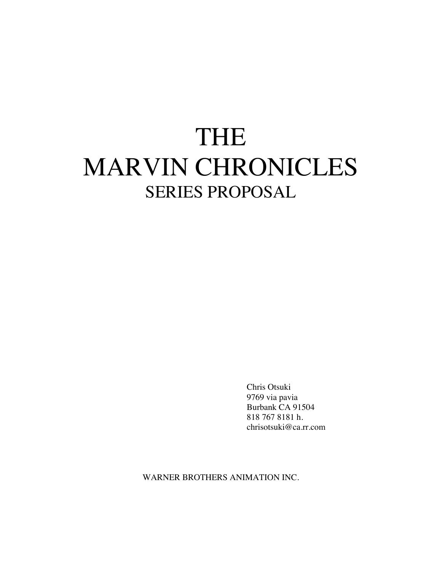# THE MARVIN CHRONICLES SERIES PROPOSAL

Chris Otsuki 9769 via pavia Burbank CA 91504 818 767 8181 h. chrisotsuki@ca.rr.com

WARNER BROTHERS ANIMATION INC.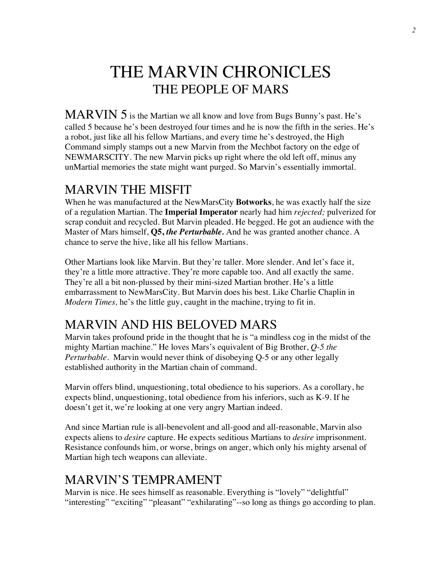# THE MARVIN CHRONICLES THE PEOPLE OF MARS

MARVIN 5 is the Martian we all know and love from Bugs Bunny's past. He's called 5 because he's been destroyed four times and he is now the fifth in the series. He's a robot, just like all his fellow Martians, and every time he's destroyed, the High Command simply stamps out a new Marvin from the Mechbot factory on the edge of NEWMARSCITY. The new Marvin picks up right where the old left off, minus any unMartial memories the state might want purged. So Marvin's essentially immortal.

#### MARVIN THE MISFIT

When he was manufactured at the NewMarsCity **Botworks**, he was exactly half the size of a regulation Martian. The **Imperial Imperator** nearly had him *rejected;* pulverized for scrap conduit and recycled. But Marvin pleaded. He begged. He got an audience with the Master of Mars himself, **Q5,** *the Perturbable.* And he was granted another chance. A chance to serve the hive, like all his fellow Martians.

Other Martians look like Marvin. But they're taller. More slender. And let's face it, they're a little more attractive. They're more capable too. And all exactly the same. They're all a bit non-plussed by their mini-sized Martian brother. He's a little embarrassment to NewMarsCity. But Marvin does his best. Like Charlie Chaplin in *Modern Times,* he's the little guy, caught in the machine, trying to fit in.

# MARVIN AND HIS BELOVED MARS

Marvin takes profound pride in the thought that he is "a mindless cog in the midst of the mighty Martian machine." He loves Mars's equivalent of Big Brother, *Q-5 the Perturbable.* Marvin would never think of disobeying Q-5 or any other legally established authority in the Martian chain of command.

Marvin offers blind, unquestioning, total obedience to his superiors. As a corollary, he expects blind, unquestioning, total obedience from his inferiors, such as K-9. If he doesn't get it, we're looking at one very angry Martian indeed.

And since Martian rule is all-benevolent and all-good and all-reasonable, Marvin also expects aliens to *desire* capture. He expects seditious Martians to *desire* imprisonment. Resistance confounds him, or worse, brings on anger, which only his mighty arsenal of Martian high tech weapons can alleviate.

### MARVIN'S TEMPRAMENT

Marvin is nice. He sees himself as reasonable. Everything is "lovely" "delightful" "interesting" "exciting" "pleasant" "exhilarating"--so long as things go according to plan.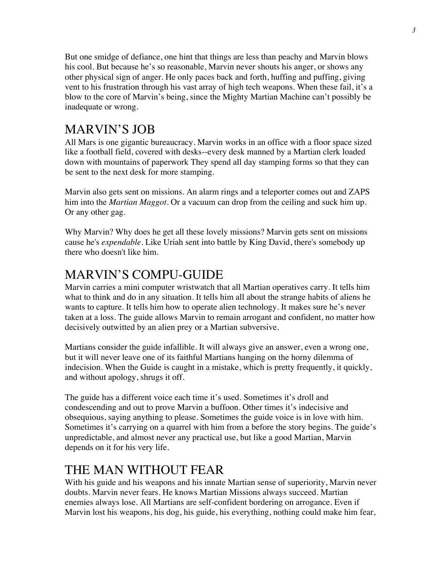But one smidge of defiance, one hint that things are less than peachy and Marvin blows his cool. But because he's so reasonable, Marvin never shouts his anger, or shows any other physical sign of anger. He only paces back and forth, huffing and puffing, giving vent to his frustration through his vast array of high tech weapons. When these fail, it's a blow to the core of Marvin's being, since the Mighty Martian Machine can't possibly be inadequate or wrong.

### MARVIN'S JOB

All Mars is one gigantic bureaucracy. Marvin works in an office with a floor space sized like a football field, covered with desks--every desk manned by a Martian clerk loaded down with mountains of paperwork They spend all day stamping forms so that they can be sent to the next desk for more stamping.

Marvin also gets sent on missions. An alarm rings and a teleporter comes out and ZAPS him into the *Martian Maggot.* Or a vacuum can drop from the ceiling and suck him up. Or any other gag.

Why Marvin? Why does he get all these lovely missions? Marvin gets sent on missions cause he's *expendable.* Like Uriah sent into battle by King David, there's somebody up there who doesn't like him.

#### MARVIN'S COMPU-GUIDE

Marvin carries a mini computer wristwatch that all Martian operatives carry. It tells him what to think and do in any situation. It tells him all about the strange habits of aliens he wants to capture. It tells him how to operate alien technology. It makes sure he's never taken at a loss. The guide allows Marvin to remain arrogant and confident, no matter how decisively outwitted by an alien prey or a Martian subversive.

Martians consider the guide infallible. It will always give an answer, even a wrong one, but it will never leave one of its faithful Martians hanging on the horny dilemma of indecision. When the Guide is caught in a mistake, which is pretty frequently, it quickly, and without apology, shrugs it off.

The guide has a different voice each time it's used. Sometimes it's droll and condescending and out to prove Marvin a buffoon. Other times it's indecisive and obsequious, saying anything to please. Sometimes the guide voice is in love with him. Sometimes it's carrying on a quarrel with him from a before the story begins. The guide's unpredictable, and almost never any practical use, but like a good Martian, Marvin depends on it for his very life.

#### THE MAN WITHOUT FEAR

With his guide and his weapons and his innate Martian sense of superiority, Marvin never doubts. Marvin never fears. He knows Martian Missions always succeed. Martian enemies always lose. All Martians are self-confident bordering on arrogance. Even if Marvin lost his weapons, his dog, his guide, his everything, nothing could make him fear,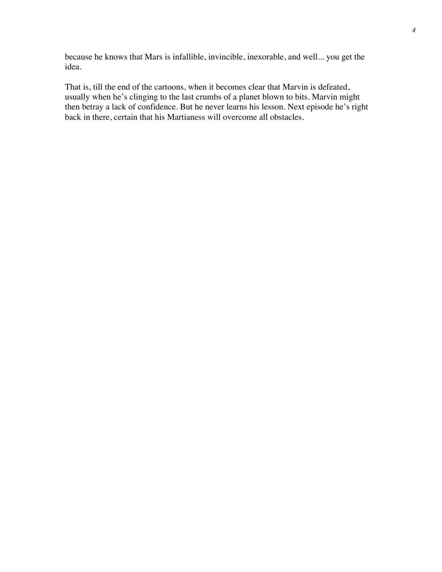because he knows that Mars is infallible, invincible, inexorable, and well... you get the idea.

That is, till the end of the cartoons, when it becomes clear that Marvin is defeated, usually when he's clinging to the last crumbs of a planet blown to bits. Marvin might then betray a lack of confidence. But he never learns his lesson. Next episode he's right back in there, certain that his Martianess will overcome all obstacles.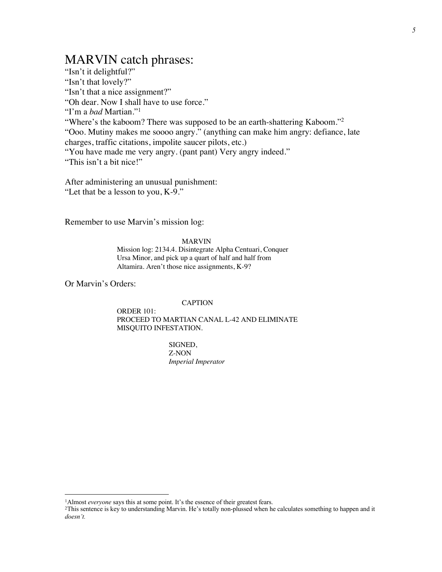#### MARVIN catch phrases:

"Isn't it delightful?" "Isn't that lovely?" "Isn't that a nice assignment?" "Oh dear. Now I shall have to use force." "I'm a *bad* Martian."<sup>1</sup> "Where's the kaboom? There was supposed to be an earth-shattering Kaboom."<sup>2</sup> "Ooo. Mutiny makes me soooo angry." (anything can make him angry: defiance, late charges, traffic citations, impolite saucer pilots, etc.) "You have made me very angry. (pant pant) Very angry indeed." "This isn't a bit nice!"

After administering an unusual punishment: "Let that be a lesson to you, K-9."

Remember to use Marvin's mission log:

#### MARVIN

Mission log: 2134.4. Disintegrate Alpha Centuari, Conquer Ursa Minor, and pick up a quart of half and half from Altamira. Aren't those nice assignments, K-9?

Or Marvin's Orders:

#### CAPTION

ORDER 101: PROCEED TO MARTIAN CANAL L-42 AND ELIMINATE MISQUITO INFESTATION.

> SIGNED, Z-NON *Imperial Imperator*

<sup>&</sup>lt;sup>1</sup>Almost *everyone* says this at some point. It's the essence of their greatest fears.

<sup>2</sup>This sentence is key to understanding Marvin. He's totally non-plussed when he calculates something to happen and it *doesn't.*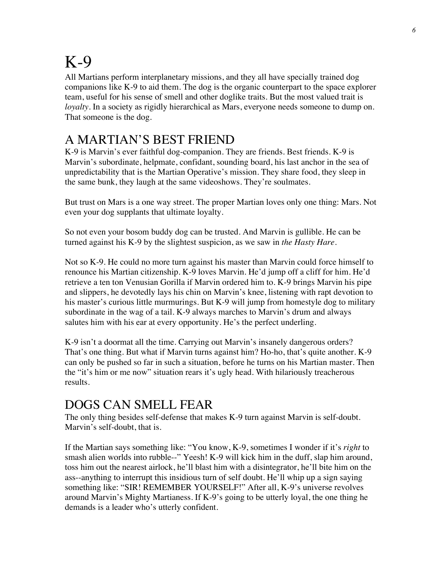# K-9

All Martians perform interplanetary missions, and they all have specially trained dog companions like K-9 to aid them. The dog is the organic counterpart to the space explorer team, useful for his sense of smell and other doglike traits. But the most valued trait is *loyalty*. In a society as rigidly hierarchical as Mars, everyone needs someone to dump on. That someone is the dog.

# A MARTIAN'S BEST FRIEND

K-9 is Marvin's ever faithful dog-companion. They are friends. Best friends. K-9 is Marvin's subordinate, helpmate, confidant, sounding board, his last anchor in the sea of unpredictability that is the Martian Operative's mission. They share food, they sleep in the same bunk, they laugh at the same videoshows. They're soulmates.

But trust on Mars is a one way street. The proper Martian loves only one thing: Mars. Not even your dog supplants that ultimate loyalty.

So not even your bosom buddy dog can be trusted. And Marvin is gullible. He can be turned against his K-9 by the slightest suspicion, as we saw in *the Hasty Hare.* 

Not so K-9. He could no more turn against his master than Marvin could force himself to renounce his Martian citizenship. K-9 loves Marvin. He'd jump off a cliff for him. He'd retrieve a ten ton Venusian Gorilla if Marvin ordered him to. K-9 brings Marvin his pipe and slippers, he devotedly lays his chin on Marvin's knee, listening with rapt devotion to his master's curious little murmurings. But K-9 will jump from homestyle dog to military subordinate in the wag of a tail. K-9 always marches to Marvin's drum and always salutes him with his ear at every opportunity. He's the perfect underling.

K-9 isn't a doormat all the time. Carrying out Marvin's insanely dangerous orders? That's one thing. But what if Marvin turns against him? Ho-ho, that's quite another. K-9 can only be pushed so far in such a situation, before he turns on his Martian master. Then the "it's him or me now" situation rears it's ugly head. With hilariously treacherous results.

# DOGS CAN SMELL FEAR

The only thing besides self-defense that makes K-9 turn against Marvin is self-doubt. Marvin's self-doubt, that is.

If the Martian says something like: "You know, K-9, sometimes I wonder if it's *right* to smash alien worlds into rubble--" Yeesh! K-9 will kick him in the duff, slap him around, toss him out the nearest airlock, he'll blast him with a disintegrator, he'll bite him on the ass--anything to interrupt this insidious turn of self doubt. He'll whip up a sign saying something like: "SIR! REMEMBER YOURSELF!" After all, K-9's universe revolves around Marvin's Mighty Martianess. If K-9's going to be utterly loyal, the one thing he demands is a leader who's utterly confident.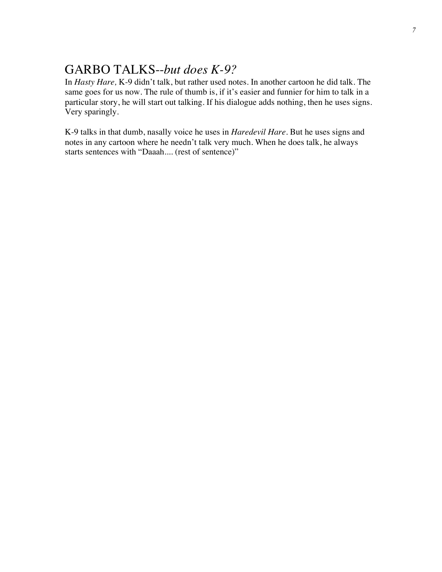### GARBO TALKS--*but does K-9?*

In *Hasty Hare,* K-9 didn't talk, but rather used notes. In another cartoon he did talk. The same goes for us now. The rule of thumb is, if it's easier and funnier for him to talk in a particular story, he will start out talking. If his dialogue adds nothing, then he uses signs. Very sparingly.

K-9 talks in that dumb, nasally voice he uses in *Haredevil Hare.* But he uses signs and notes in any cartoon where he needn't talk very much. When he does talk, he always starts sentences with "Daaah.... (rest of sentence)"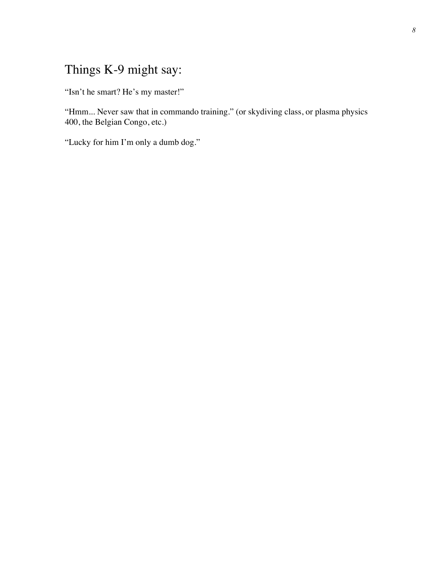#### Things K-9 might say:

"Isn't he smart? He's my master!"

"Hmm... Never saw that in commando training." (or skydiving class, or plasma physics 400, the Belgian Congo, etc.)

"Lucky for him I'm only a dumb dog."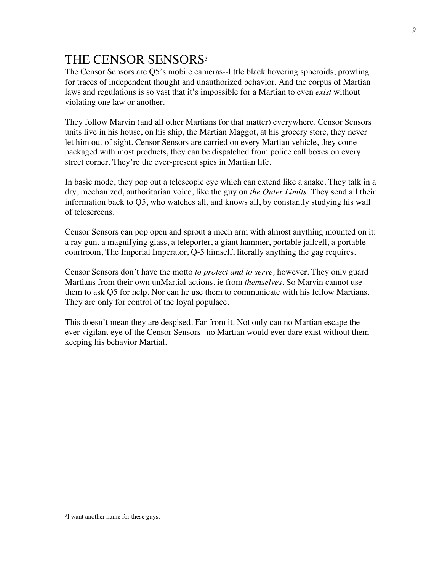# THE CENSOR SENSORS<sup>3</sup>

The Censor Sensors are Q5's mobile cameras--little black hovering spheroids, prowling for traces of independent thought and unauthorized behavior. And the corpus of Martian laws and regulations is so vast that it's impossible for a Martian to even *exist* without violating one law or another.

They follow Marvin (and all other Martians for that matter) everywhere. Censor Sensors units live in his house, on his ship, the Martian Maggot, at his grocery store, they never let him out of sight. Censor Sensors are carried on every Martian vehicle, they come packaged with most products, they can be dispatched from police call boxes on every street corner. They're the ever-present spies in Martian life.

In basic mode, they pop out a telescopic eye which can extend like a snake. They talk in a dry, mechanized, authoritarian voice, like the guy on *the Outer Limits.* They send all their information back to Q5, who watches all, and knows all, by constantly studying his wall of telescreens.

Censor Sensors can pop open and sprout a mech arm with almost anything mounted on it: a ray gun, a magnifying glass, a teleporter, a giant hammer, portable jailcell, a portable courtroom, The Imperial Imperator, Q-5 himself, literally anything the gag requires.

Censor Sensors don't have the motto *to protect and to serve,* however. They only guard Martians from their own unMartial actions. ie from *themselves.* So Marvin cannot use them to ask Q5 for help. Nor can he use them to communicate with his fellow Martians. They are only for control of the loyal populace.

This doesn't mean they are despised. Far from it. Not only can no Martian escape the ever vigilant eye of the Censor Sensors--no Martian would ever dare exist without them keeping his behavior Martial.

<sup>3</sup>I want another name for these guys.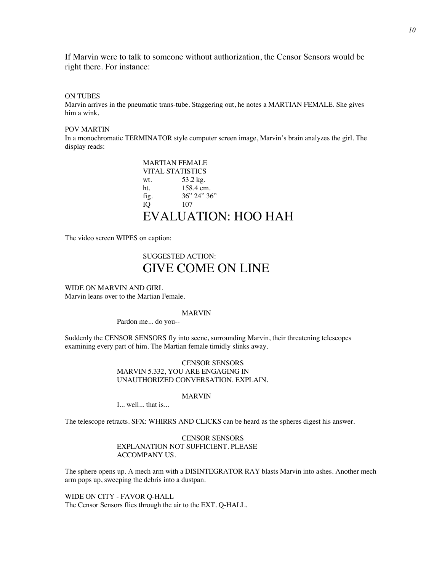If Marvin were to talk to someone without authorization, the Censor Sensors would be right there. For instance:

#### ON TUBES

Marvin arrives in the pneumatic trans-tube. Staggering out, he notes a MARTIAN FEMALE. She gives him a wink.

#### POV MARTIN

In a monochromatic TERMINATOR style computer screen image, Marvin's brain analyzes the girl. The display reads:

| <b>MARTIAN FEMALE</b>   |                |
|-------------------------|----------------|
| <b>VITAL STATISTICS</b> |                |
| wt.                     | 53.2 kg.       |
| ht.                     | 158.4 cm.      |
| fig.                    | 36'' 24'' 36'' |
| IO                      | 107            |
| EVALUATION: HOO HAH     |                |

The video screen WIPES on caption:

#### SUGGESTED ACTION: GIVE COME ON LINE

WIDE ON MARVIN AND GIRL Marvin leans over to the Martian Female.

#### MARVIN

Pardon me... do you--

Suddenly the CENSOR SENSORS fly into scene, surrounding Marvin, their threatening telescopes examining every part of him. The Martian female timidly slinks away.

> CENSOR SENSORS MARVIN 5.332, YOU ARE ENGAGING IN UNAUTHORIZED CONVERSATION. EXPLAIN.

#### MARVIN

I... well... that is...

The telescope retracts. SFX: WHIRRS AND CLICKS can be heard as the spheres digest his answer.

#### CENSOR SENSORS EXPLANATION NOT SUFFICIENT. PLEASE ACCOMPANY US.

The sphere opens up. A mech arm with a DISINTEGRATOR RAY blasts Marvin into ashes. Another mech arm pops up, sweeping the debris into a dustpan.

WIDE ON CITY - FAVOR Q-HALL The Censor Sensors flies through the air to the EXT. Q-HALL.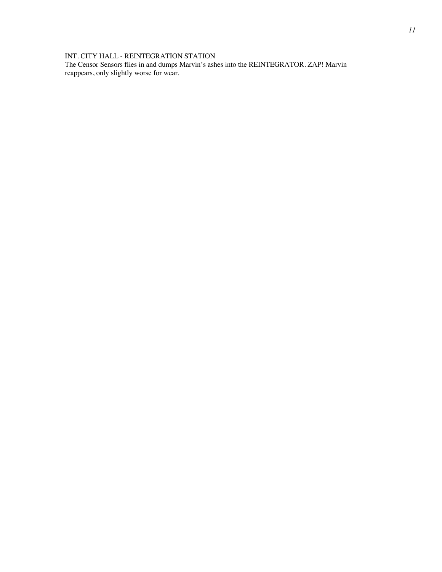#### INT. CITY HALL - REINTEGRATION STATION

The Censor Sensors flies in and dumps Marvin's ashes into the REINTEGRATOR. ZAP! Marvin reappears, only slightly worse for wear.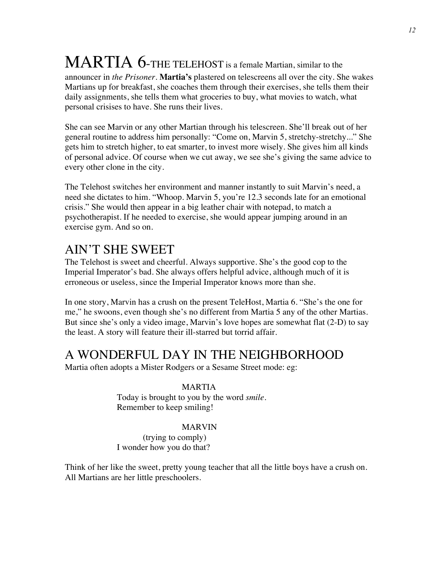# MARTIA 6-THE TELEHOST is a female Martian, similar to the

announcer in *the Prisoner.* **Martia's** plastered on telescreens all over the city. She wakes Martians up for breakfast, she coaches them through their exercises, she tells them their daily assignments, she tells them what groceries to buy, what movies to watch, what personal crisises to have. She runs their lives.

She can see Marvin or any other Martian through his telescreen. She'll break out of her general routine to address him personally: "Come on, Marvin 5, stretchy-stretchy..." She gets him to stretch higher, to eat smarter, to invest more wisely. She gives him all kinds of personal advice. Of course when we cut away, we see she's giving the same advice to every other clone in the city.

The Telehost switches her environment and manner instantly to suit Marvin's need, a need she dictates to him. "Whoop. Marvin 5, you're 12.3 seconds late for an emotional crisis." She would then appear in a big leather chair with notepad, to match a psychotherapist. If he needed to exercise, she would appear jumping around in an exercise gym. And so on.

### AIN'T SHE SWEET

The Telehost is sweet and cheerful. Always supportive. She's the good cop to the Imperial Imperator's bad. She always offers helpful advice, although much of it is erroneous or useless, since the Imperial Imperator knows more than she.

In one story, Marvin has a crush on the present TeleHost, Martia 6. "She's the one for me," he swoons, even though she's no different from Martia 5 any of the other Martias. But since she's only a video image, Marvin's love hopes are somewhat flat (2-D) to say the least. A story will feature their ill-starred but torrid affair.

# A WONDERFUL DAY IN THE NEIGHBORHOOD

Martia often adopts a Mister Rodgers or a Sesame Street mode: eg:

#### MARTIA

Today is brought to you by the word *smile.*  Remember to keep smiling!

#### MARVIN

(trying to comply) I wonder how you do that?

Think of her like the sweet, pretty young teacher that all the little boys have a crush on. All Martians are her little preschoolers.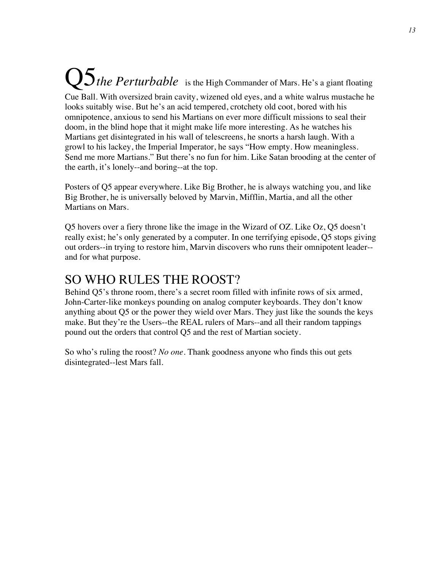#### **Q5** the Perturbable is the High Commander of Mars. He's a giant floating Cue Ball. With oversized brain cavity, wizened old eyes, and a white walrus mustache he looks suitably wise. But he's an acid tempered, crotchety old coot, bored with his omnipotence, anxious to send his Martians on ever more difficult missions to seal their doom, in the blind hope that it might make life more interesting. As he watches his Martians get disintegrated in his wall of telescreens, he snorts a harsh laugh. With a growl to his lackey, the Imperial Imperator, he says "How empty. How meaningless. Send me more Martians." But there's no fun for him. Like Satan brooding at the center of the earth, it's lonely--and boring--at the top.

Posters of Q5 appear everywhere. Like Big Brother, he is always watching you, and like Big Brother, he is universally beloved by Marvin, Mifflin, Martia, and all the other Martians on Mars.

Q5 hovers over a fiery throne like the image in the Wizard of OZ. Like Oz, Q5 doesn't really exist; he's only generated by a computer. In one terrifying episode, Q5 stops giving out orders--in trying to restore him, Marvin discovers who runs their omnipotent leader- and for what purpose.

#### SO WHO RULES THE ROOST?

Behind Q5's throne room, there's a secret room filled with infinite rows of six armed, John-Carter-like monkeys pounding on analog computer keyboards. They don't know anything about Q5 or the power they wield over Mars. They just like the sounds the keys make. But they're the Users--the REAL rulers of Mars--and all their random tappings pound out the orders that control Q5 and the rest of Martian society.

So who's ruling the roost? *No one.* Thank goodness anyone who finds this out gets disintegrated--lest Mars fall.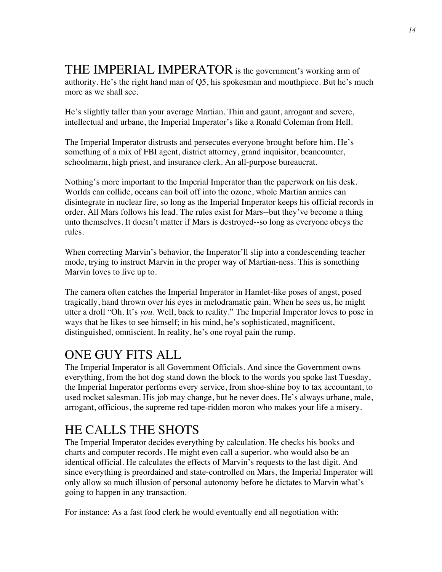THE IMPERIAL IMPERATOR is the government's working arm of authority. He's the right hand man of Q5, his spokesman and mouthpiece. But he's much more as we shall see.

He's slightly taller than your average Martian. Thin and gaunt, arrogant and severe, intellectual and urbane, the Imperial Imperator's like a Ronald Coleman from Hell.

The Imperial Imperator distrusts and persecutes everyone brought before him. He's something of a mix of FBI agent, district attorney, grand inquisitor, beancounter, schoolmarm, high priest, and insurance clerk. An all-purpose bureaucrat.

Nothing's more important to the Imperial Imperator than the paperwork on his desk. Worlds can collide, oceans can boil off into the ozone, whole Martian armies can disintegrate in nuclear fire, so long as the Imperial Imperator keeps his official records in order. All Mars follows his lead. The rules exist for Mars--but they've become a thing unto themselves. It doesn't matter if Mars is destroyed--so long as everyone obeys the rules.

When correcting Marvin's behavior, the Imperator'll slip into a condescending teacher mode, trying to instruct Marvin in the proper way of Martian-ness. This is something Marvin loves to live up to.

The camera often catches the Imperial Imperator in Hamlet-like poses of angst, posed tragically, hand thrown over his eyes in melodramatic pain. When he sees us, he might utter a droll "Oh. It's *you.* Well, back to reality." The Imperial Imperator loves to pose in ways that he likes to see himself; in his mind, he's sophisticated, magnificent, distinguished, omniscient. In reality, he's one royal pain the rump.

# ONE GUY FITS ALL

The Imperial Imperator is all Government Officials. And since the Government owns everything, from the hot dog stand down the block to the words you spoke last Tuesday, the Imperial Imperator performs every service, from shoe-shine boy to tax accountant, to used rocket salesman. His job may change, but he never does. He's always urbane, male, arrogant, officious, the supreme red tape-ridden moron who makes your life a misery.

# HE CALLS THE SHOTS

The Imperial Imperator decides everything by calculation. He checks his books and charts and computer records. He might even call a superior, who would also be an identical official. He calculates the effects of Marvin's requests to the last digit. And since everything is preordained and state-controlled on Mars, the Imperial Imperator will only allow so much illusion of personal autonomy before he dictates to Marvin what's going to happen in any transaction.

For instance: As a fast food clerk he would eventually end all negotiation with: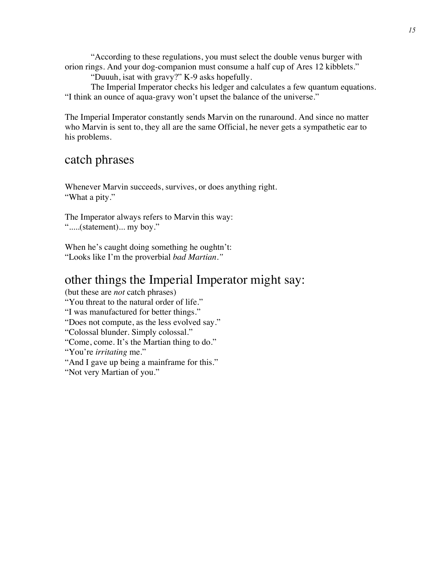"According to these regulations, you must select the double venus burger with orion rings. And your dog-companion must consume a half cup of Ares 12 kibblets."

"Duuuh, isat with gravy?" K-9 asks hopefully.

The Imperial Imperator checks his ledger and calculates a few quantum equations. "I think an ounce of aqua-gravy won't upset the balance of the universe."

The Imperial Imperator constantly sends Marvin on the runaround. And since no matter who Marvin is sent to, they all are the same Official, he never gets a sympathetic ear to his problems.

#### catch phrases

Whenever Marvin succeeds, survives, or does anything right. "What a pity."

The Imperator always refers to Marvin this way: ".....(statement)... my boy."

When he's caught doing something he oughtn't: "Looks like I'm the proverbial *bad Martian."*

#### other things the Imperial Imperator might say:

(but these are *not* catch phrases) "You threat to the natural order of life." "I was manufactured for better things." "Does not compute, as the less evolved say." "Colossal blunder. Simply colossal." "Come, come. It's the Martian thing to do." "You're *irritating* me." "And I gave up being a mainframe for this." "Not very Martian of you."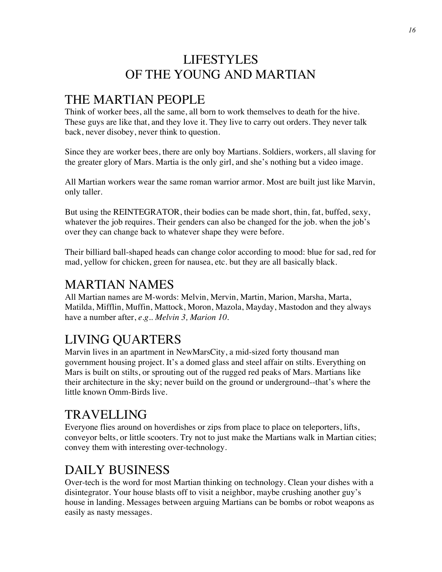### LIFESTYLES OF THE YOUNG AND MARTIAN

### THE MARTIAN PEOPLE

Think of worker bees, all the same, all born to work themselves to death for the hive. These guys are like that, and they love it. They live to carry out orders. They never talk back, never disobey, never think to question.

Since they are worker bees, there are only boy Martians. Soldiers, workers, all slaving for the greater glory of Mars. Martia is the only girl, and she's nothing but a video image.

All Martian workers wear the same roman warrior armor. Most are built just like Marvin, only taller.

But using the REINTEGRATOR, their bodies can be made short, thin, fat, buffed, sexy, whatever the job requires. Their genders can also be changed for the job. when the job's over they can change back to whatever shape they were before.

Their billiard ball-shaped heads can change color according to mood: blue for sad, red for mad, yellow for chicken, green for nausea, etc. but they are all basically black.

### MARTIAN NAMES

All Martian names are M-words: Melvin, Mervin, Martin, Marion, Marsha, Marta, Matilda, Mifflin, Muffin, Mattock, Moron, Mazola, Mayday, Mastodon and they always have a number after, *e.g.. Melvin 3, Marion 10.*

# LIVING QUARTERS

Marvin lives in an apartment in NewMarsCity, a mid-sized forty thousand man government housing project. It's a domed glass and steel affair on stilts. Everything on Mars is built on stilts, or sprouting out of the rugged red peaks of Mars. Martians like their architecture in the sky; never build on the ground or underground--that's where the little known Omm-Birds live.

### TRAVELLING

Everyone flies around on hoverdishes or zips from place to place on teleporters, lifts, conveyor belts, or little scooters. Try not to just make the Martians walk in Martian cities; convey them with interesting over-technology.

# DAILY BUSINESS

Over-tech is the word for most Martian thinking on technology. Clean your dishes with a disintegrator. Your house blasts off to visit a neighbor, maybe crushing another guy's house in landing. Messages between arguing Martians can be bombs or robot weapons as easily as nasty messages.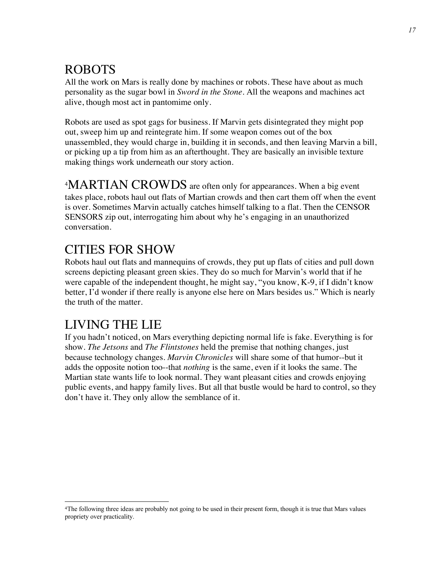# ROBOTS

All the work on Mars is really done by machines or robots. These have about as much personality as the sugar bowl in *Sword in the Stone.* All the weapons and machines act alive, though most act in pantomime only.

Robots are used as spot gags for business. If Marvin gets disintegrated they might pop out, sweep him up and reintegrate him. If some weapon comes out of the box unassembled, they would charge in, building it in seconds, and then leaving Marvin a bill, or picking up a tip from him as an afterthought. They are basically an invisible texture making things work underneath our story action.

<sup>4</sup>MARTIAN CROWDS are often only for appearances. When a big event takes place, robots haul out flats of Martian crowds and then cart them off when the event is over. Sometimes Marvin actually catches himself talking to a flat. Then the CENSOR SENSORS zip out, interrogating him about why he's engaging in an unauthorized conversation.

### CITIES FOR SHOW

Robots haul out flats and mannequins of crowds, they put up flats of cities and pull down screens depicting pleasant green skies. They do so much for Marvin's world that if he were capable of the independent thought, he might say, "you know, K-9, if I didn't know better, I'd wonder if there really is anyone else here on Mars besides us." Which is nearly the truth of the matter.

# LIVING THE LIE

If you hadn't noticed, on Mars everything depicting normal life is fake. Everything is for show. *The Jetsons* and *The Flintstones* held the premise that nothing changes, just because technology changes. *Marvin Chronicles* will share some of that humor--but it adds the opposite notion too--that *nothing* is the same, even if it looks the same. The Martian state wants life to look normal. They want pleasant cities and crowds enjoying public events, and happy family lives. But all that bustle would be hard to control, so they don't have it. They only allow the semblance of it.

<sup>4</sup>The following three ideas are probably not going to be used in their present form, though it is true that Mars values propriety over practicality.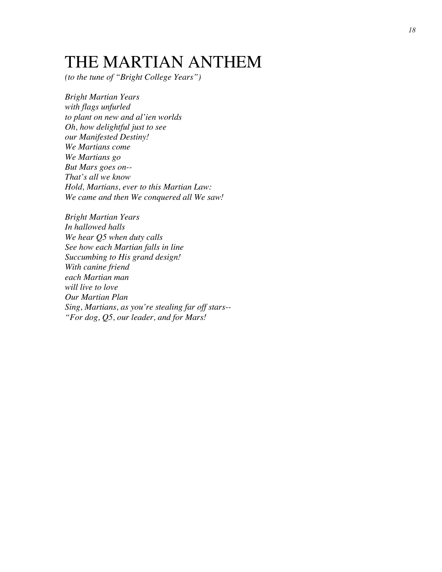# THE MARTIAN ANTHEM

*(to the tune of "Bright College Years")*

*Bright Martian Years with flags unfurled to plant on new and al'ien worlds Oh, how delightful just to see our Manifested Destiny! We Martians come We Martians go But Mars goes on-- That's all we know Hold, Martians, ever to this Martian Law: We came and then We conquered all We saw!*

*Bright Martian Years In hallowed halls We hear Q5 when duty calls See how each Martian falls in line Succumbing to His grand design! With canine friend each Martian man will live to love Our Martian Plan Sing, Martians, as you're stealing far off stars-- "For dog, Q5, our leader, and for Mars!*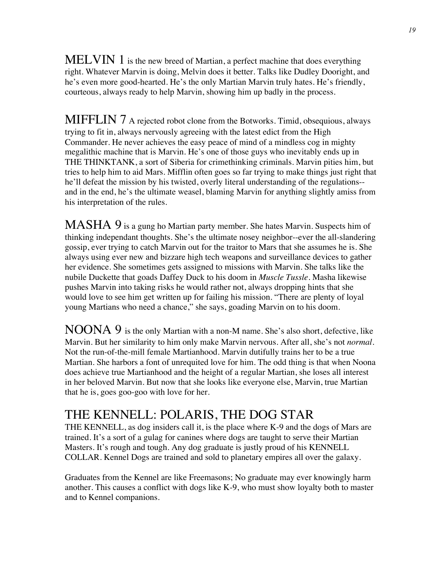MELVIN 1 is the new breed of Martian, a perfect machine that does everything right. Whatever Marvin is doing, Melvin does it better. Talks like Dudley Dooright, and he's even more good-hearted. He's the only Martian Marvin truly hates. He's friendly, courteous, always ready to help Marvin, showing him up badly in the process.

MIFFLIN 7 A rejected robot clone from the Botworks. Timid, obsequious, always trying to fit in, always nervously agreeing with the latest edict from the High Commander. He never achieves the easy peace of mind of a mindless cog in mighty megalithic machine that is Marvin. He's one of those guys who inevitably ends up in THE THINKTANK, a sort of Siberia for crimethinking criminals. Marvin pities him, but tries to help him to aid Mars. Mifflin often goes so far trying to make things just right that he'll defeat the mission by his twisted, overly literal understanding of the regulations- and in the end, he's the ultimate weasel, blaming Marvin for anything slightly amiss from his interpretation of the rules.

MASHA 9 is a gung ho Martian party member. She hates Marvin. Suspects him of thinking independant thoughts. She's the ultimate nosey neighbor--ever the all-slandering gossip, ever trying to catch Marvin out for the traitor to Mars that she assumes he is. She always using ever new and bizzare high tech weapons and surveillance devices to gather her evidence. She sometimes gets assigned to missions with Marvin. She talks like the nubile Duckette that goads Daffey Duck to his doom in *Muscle Tussle.* Masha likewise pushes Marvin into taking risks he would rather not, always dropping hints that she would love to see him get written up for failing his mission. "There are plenty of loyal young Martians who need a chance," she says, goading Marvin on to his doom.

 $NOONA$  9 is the only Martian with a non-M name. She's also short, defective, like Marvin. But her similarity to him only make Marvin nervous. After all, she's not *normal.*  Not the run-of-the-mill female Martianhood. Marvin dutifully trains her to be a true Martian. She harbors a font of unrequited love for him. The odd thing is that when Noona does achieve true Martianhood and the height of a regular Martian, she loses all interest in her beloved Marvin. But now that she looks like everyone else, Marvin, true Martian that he is, goes goo-goo with love for her.

#### THE KENNELL: POLARIS, THE DOG STAR

THE KENNELL, as dog insiders call it, is the place where K-9 and the dogs of Mars are trained. It's a sort of a gulag for canines where dogs are taught to serve their Martian Masters. It's rough and tough. Any dog graduate is justly proud of his KENNELL COLLAR. Kennel Dogs are trained and sold to planetary empires all over the galaxy.

Graduates from the Kennel are like Freemasons; No graduate may ever knowingly harm another. This causes a conflict with dogs like K-9, who must show loyalty both to master and to Kennel companions.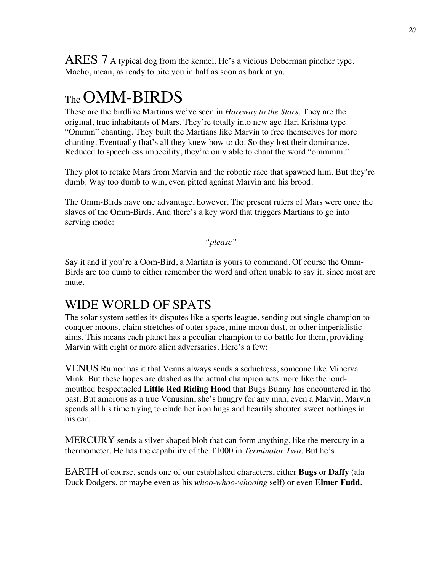ARES 7 A typical dog from the kennel. He's a vicious Doberman pincher type. Macho, mean, as ready to bite you in half as soon as bark at ya.

# The OMM-BIRDS

These are the birdlike Martians we've seen in *Hareway to the Stars.* They are the original, true inhabitants of Mars. They're totally into new age Hari Krishna type "Ommm" chanting. They built the Martians like Marvin to free themselves for more chanting. Eventually that's all they knew how to do. So they lost their dominance. Reduced to speechless imbecility, they're only able to chant the word "ommmm."

They plot to retake Mars from Marvin and the robotic race that spawned him. But they're dumb. Way too dumb to win, even pitted against Marvin and his brood.

The Omm-Birds have one advantage, however. The present rulers of Mars were once the slaves of the Omm-Birds. And there's a key word that triggers Martians to go into serving mode:

*"please"*

Say it and if you're a Oom-Bird, a Martian is yours to command. Of course the Omm-Birds are too dumb to either remember the word and often unable to say it, since most are mute.

### WIDE WORLD OF SPATS

The solar system settles its disputes like a sports league, sending out single champion to conquer moons, claim stretches of outer space, mine moon dust, or other imperialistic aims. This means each planet has a peculiar champion to do battle for them, providing Marvin with eight or more alien adversaries. Here's a few:

VENUS Rumor has it that Venus always sends a seductress, someone like Minerva Mink. But these hopes are dashed as the actual champion acts more like the loudmouthed bespectacled **Little Red Riding Hood** that Bugs Bunny has encountered in the past. But amorous as a true Venusian, she's hungry for any man, even a Marvin. Marvin spends all his time trying to elude her iron hugs and heartily shouted sweet nothings in his ear.

MERCURY sends a silver shaped blob that can form anything, like the mercury in a thermometer. He has the capability of the T1000 in *Terminator Two.* But he's

EARTH of course, sends one of our established characters, either **Bugs** or **Daffy** (ala Duck Dodgers, or maybe even as his *whoo-whoo-whooing* self) or even **Elmer Fudd.**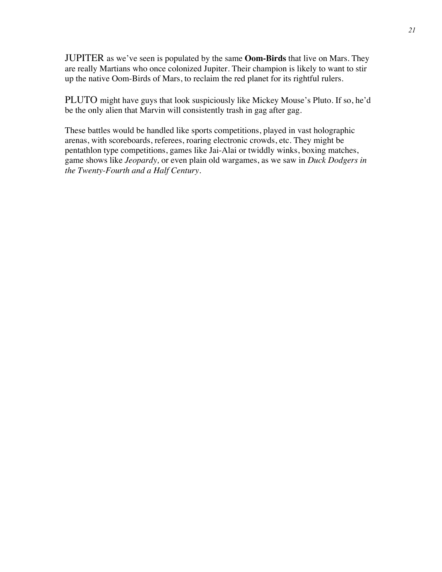JUPITER as we've seen is populated by the same **Oom-Birds** that live on Mars. They are really Martians who once colonized Jupiter. Their champion is likely to want to stir up the native Oom-Birds of Mars, to reclaim the red planet for its rightful rulers.

PLUTO might have guys that look suspiciously like Mickey Mouse's Pluto. If so, he'd be the only alien that Marvin will consistently trash in gag after gag.

These battles would be handled like sports competitions, played in vast holographic arenas, with scoreboards, referees, roaring electronic crowds, etc. They might be pentathlon type competitions, games like Jai-Alai or twiddly winks, boxing matches, game shows like *Jeopardy,* or even plain old wargames, as we saw in *Duck Dodgers in the Twenty-Fourth and a Half Century.*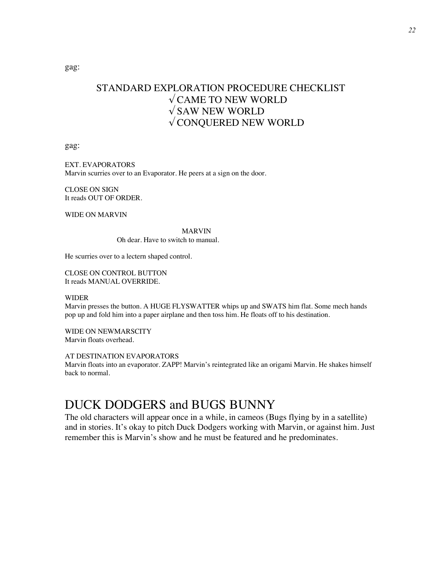gag:

#### STANDARD EXPLORATION PROCEDURE CHECKLIST  $\sqrt{\text{CAME TO NEW WORLD}}$  $\sqrt{\text{SAW}}$  NEW WORLD √ CONQUERED NEW WORLD

gag:

EXT. EVAPORATORS Marvin scurries over to an Evaporator. He peers at a sign on the door.

CLOSE ON SIGN It reads OUT OF ORDER.

WIDE ON MARVIN

#### MARVIN

Oh dear. Have to switch to manual.

He scurries over to a lectern shaped control.

CLOSE ON CONTROL BUTTON It reads MANUAL OVERRIDE.

#### WIDER

Marvin presses the button. A HUGE FLYSWATTER whips up and SWATS him flat. Some mech hands pop up and fold him into a paper airplane and then toss him. He floats off to his destination.

WIDE ON NEWMARSCITY Marvin floats overhead.

AT DESTINATION EVAPORATORS

Marvin floats into an evaporator. ZAPP! Marvin's reintegrated like an origami Marvin. He shakes himself back to normal.

#### DUCK DODGERS and BUGS BUNNY

The old characters will appear once in a while, in cameos (Bugs flying by in a satellite) and in stories. It's okay to pitch Duck Dodgers working with Marvin, or against him. Just remember this is Marvin's show and he must be featured and he predominates.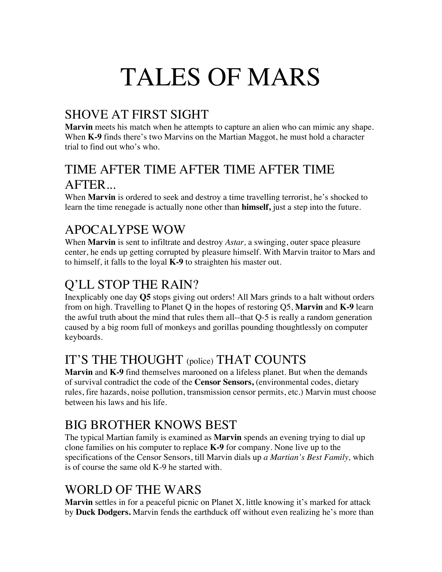# TALES OF MARS

# SHOVE AT FIRST SIGHT

**Marvin** meets his match when he attempts to capture an alien who can mimic any shape. When **K-9** finds there's two Marvins on the Martian Maggot, he must hold a character trial to find out who's who.

### TIME AFTER TIME AFTER TIME AFTER TIME AFTER...

When **Marvin** is ordered to seek and destroy a time travelling terrorist, he's shocked to learn the time renegade is actually none other than **himself,** just a step into the future.

# APOCALYPSE WOW

When **Marvin** is sent to infiltrate and destroy *Astar,* a swinging, outer space pleasure center, he ends up getting corrupted by pleasure himself. With Marvin traitor to Mars and to himself, it falls to the loyal **K-9** to straighten his master out.

# Q'LL STOP THE RAIN?

Inexplicably one day **Q5** stops giving out orders! All Mars grinds to a halt without orders from on high. Travelling to Planet Q in the hopes of restoring Q5, **Marvin** and **K-9** learn the awful truth about the mind that rules them all--that Q-5 is really a random generation caused by a big room full of monkeys and gorillas pounding thoughtlessly on computer keyboards.

# IT'S THE THOUGHT (police) THAT COUNTS

**Marvin** and **K-9** find themselves marooned on a lifeless planet. But when the demands of survival contradict the code of the **Censor Sensors,** (environmental codes, dietary rules, fire hazards, noise pollution, transmission censor permits, etc.) Marvin must choose between his laws and his life.

# BIG BROTHER KNOWS BEST

The typical Martian family is examined as **Marvin** spends an evening trying to dial up clone families on his computer to replace **K-9** for company. None live up to the specifications of the Censor Sensors, till Marvin dials up *a Martian's Best Family,* which is of course the same old K-9 he started with.

### WORLD OF THE WARS

**Marvin** settles in for a peaceful picnic on Planet X, little knowing it's marked for attack by **Duck Dodgers.** Marvin fends the earthduck off without even realizing he's more than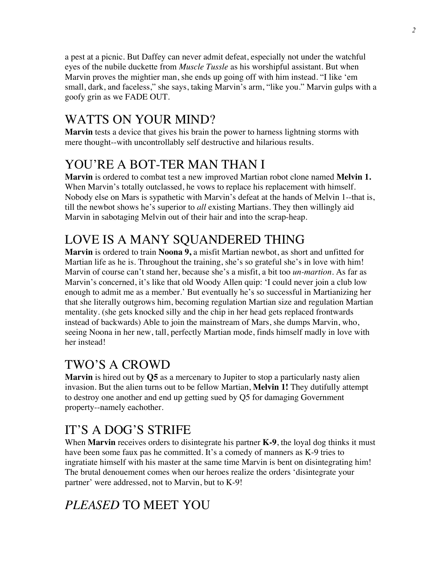a pest at a picnic. But Daffey can never admit defeat, especially not under the watchful eyes of the nubile duckette from *Muscle Tussle* as his worshipful assistant. But when Marvin proves the mightier man, she ends up going off with him instead. "I like 'em small, dark, and faceless," she says, taking Marvin's arm, "like you." Marvin gulps with a goofy grin as we FADE OUT.

# WATTS ON YOUR MIND?

**Marvin** tests a device that gives his brain the power to harness lightning storms with mere thought--with uncontrollably self destructive and hilarious results.

# YOU'RE A BOT-TER MAN THAN I

**Marvin** is ordered to combat test a new improved Martian robot clone named **Melvin 1.**  When Marvin's totally outclassed, he vows to replace his replacement with himself. Nobody else on Mars is sypathetic with Marvin's defeat at the hands of Melvin 1--that is, till the newbot shows he's superior to *all* existing Martians. They then willingly aid Marvin in sabotaging Melvin out of their hair and into the scrap-heap.

# LOVE IS A MANY SQUANDERED THING

**Marvin** is ordered to train **Noona 9,** a misfit Martian newbot, as short and unfitted for Martian life as he is. Throughout the training, she's so grateful she's in love with him! Marvin of course can't stand her, because she's a misfit, a bit too *un-martion.* As far as Marvin's concerned, it's like that old Woody Allen quip: 'I could never join a club low enough to admit me as a member.' But eventually he's so successful in Martianizing her that she literally outgrows him, becoming regulation Martian size and regulation Martian mentality. (she gets knocked silly and the chip in her head gets replaced frontwards instead of backwards) Able to join the mainstream of Mars, she dumps Marvin, who, seeing Noona in her new, tall, perfectly Martian mode, finds himself madly in love with her instead!

# TWO'S A CROWD

**Marvin** is hired out by **Q5** as a mercenary to Jupiter to stop a particularly nasty alien invasion. But the alien turns out to be fellow Martian, **Melvin 1!** They dutifully attempt to destroy one another and end up getting sued by Q5 for damaging Government property--namely eachother.

# IT'S A DOG'S STRIFE

When **Marvin** receives orders to disintegrate his partner **K-9**, the loyal dog thinks it must have been some faux pas he committed. It's a comedy of manners as K-9 tries to ingratiate himself with his master at the same time Marvin is bent on disintegrating him! The brutal denouement comes when our heroes realize the orders 'disintegrate your partner' were addressed, not to Marvin, but to K-9!

# *PLEASED* TO MEET YOU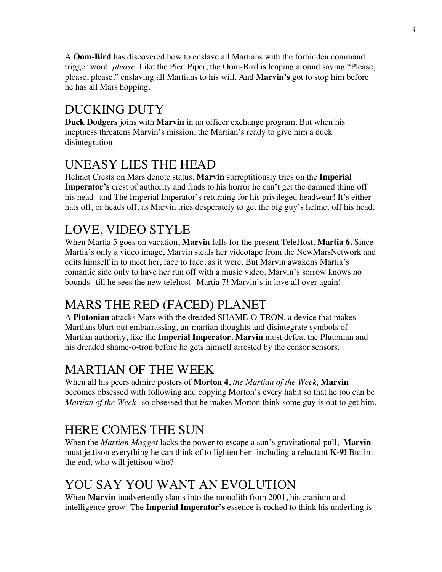A **Oom-Bird** has discovered how to enslave all Martians with the forbidden command trigger word: *please.* Like the Pied Piper, the Oom-Bird is leaping around saying "Please, please, please," enslaving all Martians to his will. And **Marvin's** got to stop him before he has all Mars hopping.

# DUCKING DUTY

**Duck Dodgers** joins with **Marvin** in an officer exchange program. But when his ineptness threatens Marvin's mission, the Martian's ready to give him a duck disintegration.

# UNEASY LIES THE HEAD

Helmet Crests on Mars denote status. **Marvin** surreptitiously tries on the **Imperial Imperator's** crest of authority and finds to his horror he can't get the damned thing off his head--and The Imperial Imperator's returning for his privileged headwear! It's either hats off, or heads off, as Marvin tries desperately to get the big guy's helmet off his head.

# LOVE, VIDEO STYLE

When Martia 5 goes on vacation, **Marvin** falls for the present TeleHost, **Martia 6.** Since Martia's only a video image, Marvin steals her videotape from the NewMarsNetwork and edits himself in to meet her, face to face, as it were. But Marvin awakens Martia's romantic side only to have her run off with a music video. Marvin's sorrow knows no bounds--till he sees the new telehost--Martia 7! Marvin's in love all over again!

# MARS THE RED (FACED) PLANET

A **Plutonian** attacks Mars with the dreaded SHAME-O-TRON, a device that makes Martians blurt out embarrassing, un-martian thoughts and disintegrate symbols of Martian authority, like the **Imperial Imperator. Marvin** must defeat the Plutonian and his dreaded shame-o-tron before he gets himself arrested by the censor sensors.

### MARTIAN OF THE WEEK

When all his peers admire posters of **Morton 4**, *the Martian of the Week,* **Marvin**  becomes obsessed with following and copying Morton's every habit so that he too can be *Martian of the Week--*so obsessed that he makes Morton think some guy is out to get him.

# HERE COMES THE SUN

When the *Martian Maggot* lacks the power to escape a sun's gravitational pull, **Marvin**  must jettison everything he can think of to lighten her--including a reluctant **K-9!** But in the end, who will jettison who?

# YOU SAY YOU WANT AN EVOLUTION

When **Marvin** inadvertently slams into the monolith from 2001, his cranium and intelligence grow! The **Imperial Imperator's** essence is rocked to think his underling is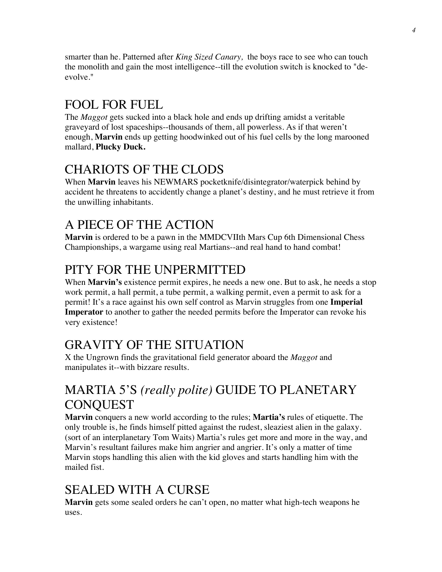smarter than he. Patterned after *King Sized Canary,* the boys race to see who can touch the monolith and gain the most intelligence--till the evolution switch is knocked to "deevolve."

# FOOL FOR FUEL

The *Maggot* gets sucked into a black hole and ends up drifting amidst a veritable graveyard of lost spaceships--thousands of them, all powerless. As if that weren't enough, **Marvin** ends up getting hoodwinked out of his fuel cells by the long marooned mallard, **Plucky Duck.**

# CHARIOTS OF THE CLODS

When **Marvin** leaves his NEWMARS pocketknife/disintegrator/waterpick behind by accident he threatens to accidently change a planet's destiny, and he must retrieve it from the unwilling inhabitants.

# A PIECE OF THE ACTION

**Marvin** is ordered to be a pawn in the MMDCVIIth Mars Cup 6th Dimensional Chess Championships, a wargame using real Martians--and real hand to hand combat!

# PITY FOR THE UNPERMITTED

When **Marvin's** existence permit expires, he needs a new one. But to ask, he needs a stop work permit, a hall permit, a tube permit, a walking permit, even a permit to ask for a permit! It's a race against his own self control as Marvin struggles from one **Imperial Imperator** to another to gather the needed permits before the Imperator can revoke his very existence!

# GRAVITY OF THE SITUATION

X the Ungrown finds the gravitational field generator aboard the *Maggot* and manipulates it--with bizzare results.

# MARTIA 5'S *(really polite)* GUIDE TO PLANETARY **CONOUEST**

**Marvin** conquers a new world according to the rules; **Martia's** rules of etiquette. The only trouble is, he finds himself pitted against the rudest, sleaziest alien in the galaxy. (sort of an interplanetary Tom Waits) Martia's rules get more and more in the way, and Marvin's resultant failures make him angrier and angrier. It's only a matter of time Marvin stops handling this alien with the kid gloves and starts handling him with the mailed fist.

# SEALED WITH A CURSE

**Marvin** gets some sealed orders he can't open, no matter what high-tech weapons he uses.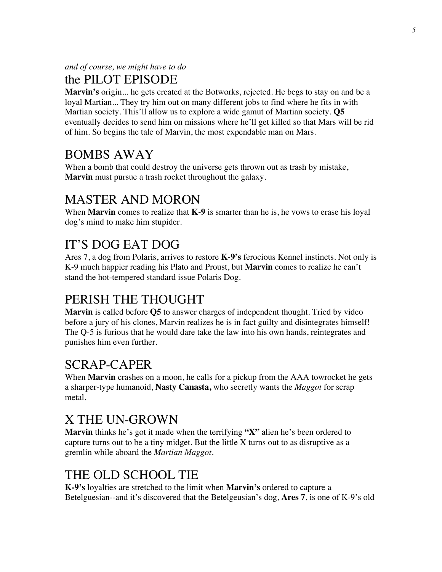*and of course, we might have to do*

### the PILOT EPISODE

**Marvin's** origin... he gets created at the Botworks, rejected. He begs to stay on and be a loyal Martian... They try him out on many different jobs to find where he fits in with Martian society. This'll allow us to explore a wide gamut of Martian society. **Q5** eventually decides to send him on missions where he'll get killed so that Mars will be rid of him. So begins the tale of Marvin, the most expendable man on Mars.

# BOMBS AWAY

When a bomb that could destroy the universe gets thrown out as trash by mistake, **Marvin** must pursue a trash rocket throughout the galaxy.

# MASTER AND MORON

When **Marvin** comes to realize that **K-9** is smarter than he is, he vows to erase his loyal dog's mind to make him stupider.

# IT'S DOG EAT DOG

Ares 7, a dog from Polaris, arrives to restore **K-9's** ferocious Kennel instincts. Not only is K-9 much happier reading his Plato and Proust, but **Marvin** comes to realize he can't stand the hot-tempered standard issue Polaris Dog.

# PERISH THE THOUGHT

**Marvin** is called before **Q5** to answer charges of independent thought. Tried by video before a jury of his clones, Marvin realizes he is in fact guilty and disintegrates himself! The Q-5 is furious that he would dare take the law into his own hands, reintegrates and punishes him even further.

# SCRAP-CAPER

When **Marvin** crashes on a moon, he calls for a pickup from the AAA towrocket he gets a sharper-type humanoid, **Nasty Canasta,** who secretly wants the *Maggot* for scrap metal.

# X THE UN-GROWN

**Marvin** thinks he's got it made when the terrifying **"X"** alien he's been ordered to capture turns out to be a tiny midget. But the little  $X$  turns out to as disruptive as a gremlin while aboard the *Martian Maggot.*

# THE OLD SCHOOL TIE

**K-9's** loyalties are stretched to the limit when **Marvin's** ordered to capture a Betelguesian--and it's discovered that the Betelgeusian's dog, **Ares 7**, is one of K-9's old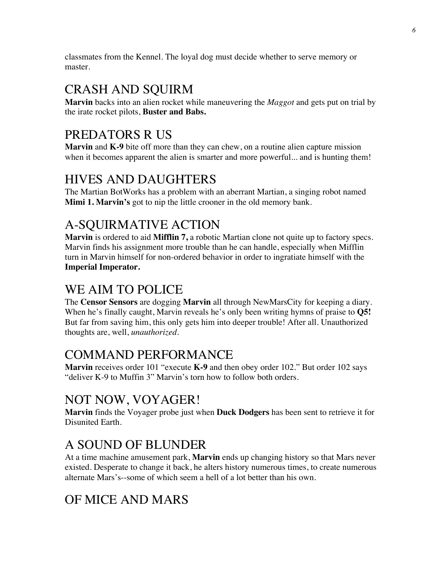classmates from the Kennel. The loyal dog must decide whether to serve memory or master.

# CRASH AND SQUIRM

**Marvin** backs into an alien rocket while maneuvering the *Maggot* and gets put on trial by the irate rocket pilots, **Buster and Babs.**

# PREDATORS R US

**Marvin** and **K-9** bite off more than they can chew, on a routine alien capture mission when it becomes apparent the alien is smarter and more powerful... and is hunting them!

# HIVES AND DAUGHTERS

The Martian BotWorks has a problem with an aberrant Martian, a singing robot named **Mimi 1. Marvin's** got to nip the little crooner in the old memory bank.

# A-SQUIRMATIVE ACTION

**Marvin** is ordered to aid **Mifflin 7,** a robotic Martian clone not quite up to factory specs. Marvin finds his assignment more trouble than he can handle, especially when Mifflin turn in Marvin himself for non-ordered behavior in order to ingratiate himself with the **Imperial Imperator.**

# WE AIM TO POLICE

The **Censor Sensors** are dogging **Marvin** all through NewMarsCity for keeping a diary. When he's finally caught, Marvin reveals he's only been writing hymns of praise to **Q5!** But far from saving him, this only gets him into deeper trouble! After all. Unauthorized thoughts are, well, *unauthorized.*

# COMMAND PERFORMANCE

**Marvin** receives order 101 "execute **K-9** and then obey order 102." But order 102 says "deliver K-9 to Muffin 3" Marvin's torn how to follow both orders.

# NOT NOW, VOYAGER!

**Marvin** finds the Voyager probe just when **Duck Dodgers** has been sent to retrieve it for Disunited Earth.

# A SOUND OF BLUNDER

At a time machine amusement park, **Marvin** ends up changing history so that Mars never existed. Desperate to change it back, he alters history numerous times, to create numerous alternate Mars's--some of which seem a hell of a lot better than his own.

# OF MICE AND MARS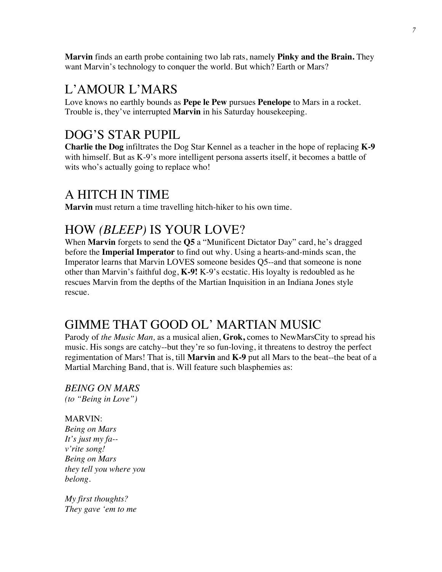**Marvin** finds an earth probe containing two lab rats, namely **Pinky and the Brain.** They want Marvin's technology to conquer the world. But which? Earth or Mars?

#### L'AMOUR L'MARS

Love knows no earthly bounds as **Pepe le Pew** pursues **Penelope** to Mars in a rocket. Trouble is, they've interrupted **Marvin** in his Saturday housekeeping.

### DOG'S STAR PUPIL

**Charlie the Dog** infiltrates the Dog Star Kennel as a teacher in the hope of replacing **K-9** with himself. But as K-9's more intelligent persona asserts itself, it becomes a battle of wits who's actually going to replace who!

#### A HITCH IN TIME

**Marvin** must return a time travelling hitch-hiker to his own time.

### HOW *(BLEEP)* IS YOUR LOVE?

When **Marvin** forgets to send the **Q5** a "Munificent Dictator Day" card, he's dragged before the **Imperial Imperator** to find out why. Using a hearts-and-minds scan, the Imperator learns that Marvin LOVES someone besides Q5--and that someone is none other than Marvin's faithful dog, **K-9!** K-9's ecstatic. His loyalty is redoubled as he rescues Marvin from the depths of the Martian Inquisition in an Indiana Jones style rescue.

# GIMME THAT GOOD OL' MARTIAN MUSIC

Parody of *the Music Man,* as a musical alien, **Grok,** comes to NewMarsCity to spread his music. His songs are catchy--but they're so fun-loving, it threatens to destroy the perfect regimentation of Mars! That is, till **Marvin** and **K-9** put all Mars to the beat--the beat of a Martial Marching Band, that is. Will feature such blasphemies as:

*BEING ON MARS (to "Being in Love")*

#### MARVIN:

*Being on Mars It's just my fa- v'rite song! Being on Mars they tell you where you belong.*

*My first thoughts? They gave 'em to me*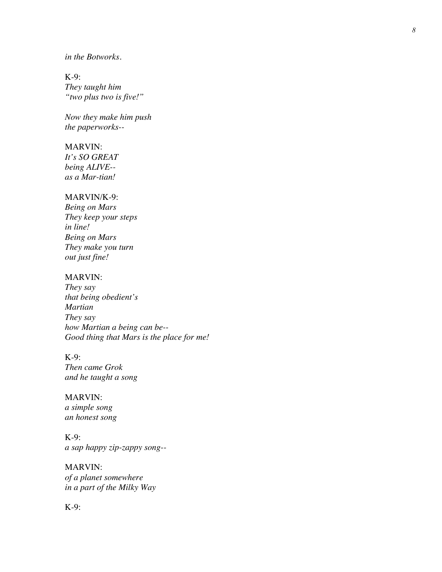#### *in the Botworks.*

K-9: *They taught him "two plus two is five!"*

*Now they make him push the paperworks--*

#### MARVIN:

*It's SO GREAT being ALIVE- as a Mar -tian!*

#### MARVIN/K -9:

*Being on Mars They keep your steps in line! Being on Mars They make you turn out just fine!*

#### MARVIN:

*They say that being obedient ' s Martian They say how Martian a being can be-- Good thing that Mars is the place for me!*

#### K-9:

*Then came Grok and he taught a song*

MARVIN: *a simple song an honest song*

K-9: *a sap happy zip -zappy song--*

MARVIN: *of a planet somewhere in a part of the Milky Way*

K-9: